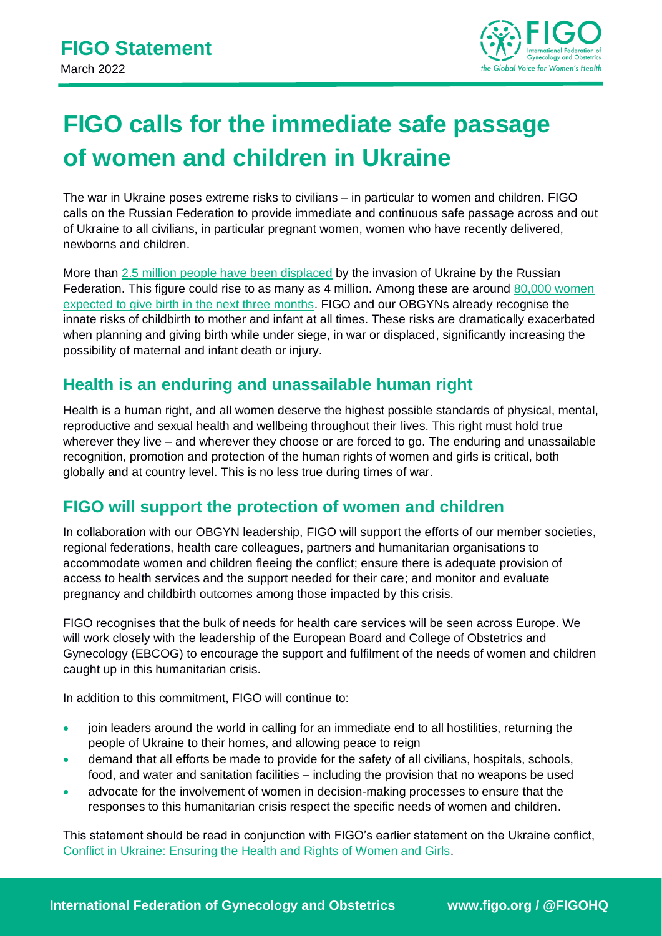

# **FIGO calls for the immediate safe passage of women and children in Ukraine**

The war in Ukraine poses extreme risks to civilians – in particular to women and children. FIGO calls on the Russian Federation to provide immediate and continuous safe passage across and out of Ukraine to all civilians, in particular pregnant women, women who have recently delivered, newborns and children.

More than [2.5 million people have been displaced](https://data2.unhcr.org/en/situations/ukraine) by the invasion of Ukraine by the Russian Federation. This figure could rise to as many as 4 million. Among these are around [80,000 women](https://www.unfpa.org/ukraine-war)  [expected to give birth in the next three months.](https://www.unfpa.org/ukraine-war) FIGO and our OBGYNs already recognise the innate risks of childbirth to mother and infant at all times. These risks are dramatically exacerbated when planning and giving birth while under siege, in war or displaced, significantly increasing the possibility of maternal and infant death or injury.

## **Health is an enduring and unassailable human right**

Health is a human right, and all women deserve the highest possible standards of physical, mental, reproductive and sexual health and wellbeing throughout their lives. This right must hold true wherever they live – and wherever they choose or are forced to go. The enduring and unassailable recognition, promotion and protection of the human rights of women and girls is critical, both globally and at country level. This is no less true during times of war.

## **FIGO will support the protection of women and children**

In collaboration with our OBGYN leadership, FIGO will support the efforts of our member societies, regional federations, health care colleagues, partners and humanitarian organisations to accommodate women and children fleeing the conflict; ensure there is adequate provision of access to health services and the support needed for their care; and monitor and evaluate pregnancy and childbirth outcomes among those impacted by this crisis.

FIGO recognises that the bulk of needs for health care services will be seen across Europe. We will work closely with the leadership of the European Board and College of Obstetrics and Gynecology (EBCOG) to encourage the support and fulfilment of the needs of women and children caught up in this humanitarian crisis.

In addition to this commitment, FIGO will continue to:

- join leaders around the world in calling for an immediate end to all hostilities, returning the people of Ukraine to their homes, and allowing peace to reign
- demand that all efforts be made to provide for the safety of all civilians, hospitals, schools, food, and water and sanitation facilities – including the provision that no weapons be used
- advocate for the involvement of women in decision-making processes to ensure that the responses to this humanitarian crisis respect the specific needs of women and children.

This statement should be read in conjunction with FIGO's earlier statement on the Ukraine conflict, [Conflict in Ukraine: Ensuring the Health and Rights of Women and Girls.](https://www.figo.org/resources/figo-statements/conflict-ukraine-protecting-health-and-rights-women-and-girls)